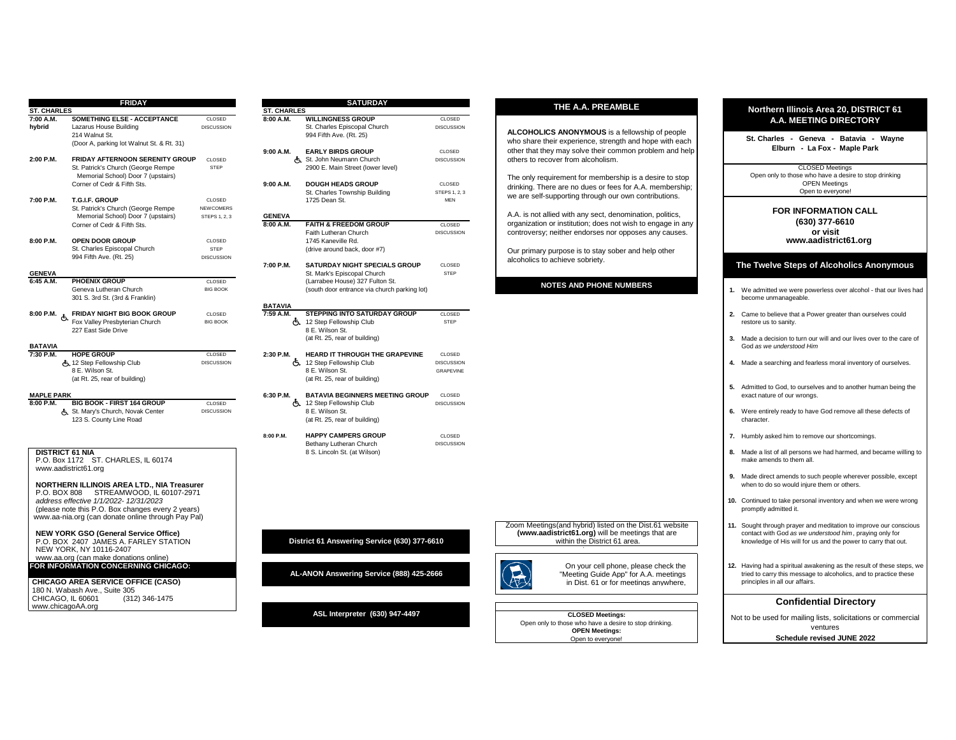| <b>ST. CHARLES</b>             | <b>FRIDAY</b>                                                                                                                                     |                                            |                                 | <b>SATURDAY</b>                                                                                                 |                                          | THE A.A. PREAMBLE                                                                                                                                                                 | <b>Northern Illinois Area 20, DISTRICT 61</b>                                                                                                                                                 |
|--------------------------------|---------------------------------------------------------------------------------------------------------------------------------------------------|--------------------------------------------|---------------------------------|-----------------------------------------------------------------------------------------------------------------|------------------------------------------|-----------------------------------------------------------------------------------------------------------------------------------------------------------------------------------|-----------------------------------------------------------------------------------------------------------------------------------------------------------------------------------------------|
| 7:00 A.M.                      | <b>SOMETHING ELSE - ACCEPTANCE</b>                                                                                                                | CLOSED                                     | <b>ST. CHARLES</b><br>8:00 A.M. | <b>WILLINGNESS GROUP</b>                                                                                        | CLOSED                                   |                                                                                                                                                                                   |                                                                                                                                                                                               |
| hybrid                         | Lazarus House Building<br>214 Walnut St.<br>(Door A, parking lot Walnut St. & Rt. 31)                                                             | <b>DISCUSSION</b>                          |                                 | St. Charles Episcopal Church<br>994 Fifth Ave. (Rt. 25)                                                         | <b>DISCUSSION</b>                        | ALCOHOLICS ANONYMOUS is a fellowship of people<br>who share their experience, strength and hope with each                                                                         | A.A. MEETING DIRECTORY<br>St. Charles - Geneva - Batavia - Wayne<br>Elburn - La Fox - Maple Park                                                                                              |
| 2:00 P.M.                      | <b>FRIDAY AFTERNOON SERENITY GROUP</b><br>St. Patrick's Church (George Rempe                                                                      | CLOSED<br><b>STEP</b>                      | 9:00 A.M.                       | <b>EARLY BIRDS GROUP</b><br>St. John Neumann Church<br>2900 E. Main Street (lower level)                        | CLOSED<br><b>DISCUSSION</b>              | other that they may solve their common problem and help<br>others to recover from alcoholism.                                                                                     | <b>CLOSED Meetings</b>                                                                                                                                                                        |
|                                | Memorial School) Door 7 (upstairs)<br>Corner of Cedr & Fifth Sts.                                                                                 |                                            | 9:00 A.M.                       | <b>DOUGH HEADS GROUP</b>                                                                                        | CLOSED                                   | The only requirement for membership is a desire to stop<br>drinking. There are no dues or fees for A.A. membership;                                                               | Open only to those who have a desire to stop drinking<br><b>OPEN Meetings</b>                                                                                                                 |
| 7:00 P.M.                      | T.G.I.F. GROUP<br>St. Patrick's Church (George Rempe)                                                                                             | CLOSED<br><b>NEWCOMERS</b>                 |                                 | St. Charles Township Building<br>1725 Dean St.                                                                  | STEPS 1, 2, 3<br><b>MEN</b>              | we are self-supporting through our own contributions.                                                                                                                             | Open to everyone!                                                                                                                                                                             |
|                                | Memorial School) Door 7 (upstairs)<br>Corner of Cedr & Fifth Sts.                                                                                 | STEPS 1, 2, 3                              | <b>GENEVA</b><br>8:00 A.M.      | <b>FAITH &amp; FREEDOM GROUP</b><br>Faith Lutheran Church                                                       | CLOSED<br><b>DISCUSSION</b>              | A.A. is not allied with any sect, denomination, politics,<br>organization or institution; does not wish to engage in any<br>controversy; neither endorses nor opposes any causes. | <b>FOR INFORMATION CALL</b><br>(630) 377-6610<br>or visit                                                                                                                                     |
| 8:00 P.M.                      | OPEN DOOR GROUP<br>St. Charles Episcopal Church<br>994 Fifth Ave. (Rt. 25)                                                                        | CLOSED<br><b>STEP</b><br><b>DISCUSSION</b> |                                 | 1745 Kaneville Rd.<br>(drive around back, door #7)                                                              |                                          | Our primary purpose is to stay sober and help other                                                                                                                               | www.aadistrict61.org                                                                                                                                                                          |
| <b>GENEVA</b>                  |                                                                                                                                                   |                                            | 7:00 P.M.                       | <b>SATURDAY NIGHT SPECIALS GROUP</b><br>St. Mark's Episcopal Church                                             | CLOSED<br><b>STEP</b>                    | alcoholics to achieve sobriety.                                                                                                                                                   | The Twelve Steps of Alcoholics Anonymous                                                                                                                                                      |
| $6:45$ A.M.                    | <b>PHOENIX GROUP</b><br>Geneva Lutheran Church<br>301 S. 3rd St. (3rd & Franklin)                                                                 | CLOSED<br><b>BIG BOOK</b>                  |                                 | (Larrabee House) 327 Fulton St.<br>(south door entrance via church parking lot)                                 |                                          | <b>NOTES AND PHONE NUMBERS</b>                                                                                                                                                    | 1. We admitted we were powerless over alcohol - that our lives had<br>become unmanageable.                                                                                                    |
| 8:00 P.M. $\&$                 | <b>FRIDAY NIGHT BIG BOOK GROUP</b><br>Fox Valley Presbyterian Church                                                                              | CLOSED<br><b>BIG BOOK</b>                  | <b>BATAVIA</b><br>7:59 A.M.     | STEPPING INTO SATURDAY GROUP<br>も 12 Step Fellowship Club                                                       | CLOSED<br>STEP                           |                                                                                                                                                                                   | 2. Came to believe that a Power greater than ourselves could<br>restore us to sanity.                                                                                                         |
| <b>BATAVIA</b>                 | 227 East Side Drive                                                                                                                               |                                            |                                 | 8 E. Wilson St.<br>(at Rt. 25, rear of building)                                                                |                                          |                                                                                                                                                                                   | 3. Made a decision to turn our will and our lives over to the care of<br>God as we understood Him                                                                                             |
| 7:30 P.M.                      | <b>HOPE GROUP</b><br>占 12 Step Fellowship Club<br>8 E. Wilson St.<br>(at Rt. 25, rear of building)                                                | CLOSED<br><b>DISCUSSION</b>                | 2:30 P.M.                       | HEARD IT THROUGH THE GRAPEVINE<br>点 12 Step Fellowship Club<br>8 E. Wilson St.<br>(at Rt. 25, rear of building) | CLOSED<br><b>DISCUSSION</b><br>GRAPEVINE |                                                                                                                                                                                   | 4. Made a searching and fearless moral inventory of ourselves.                                                                                                                                |
| <b>MAPLE PARK</b><br>8:00 P.M. | <b>BIG BOOK - FIRST 164 GROUP</b>                                                                                                                 | CLOSED                                     | 6:30 P.M.                       | <b>BATAVIA BEGINNERS MEETING GROUP</b><br>4. 12 Step Fellowship Club                                            | CLOSED<br><b>DISCUSSION</b>              |                                                                                                                                                                                   | 5. Admitted to God, to ourselves and to another human being the<br>exact nature of our wrongs.                                                                                                |
|                                | St. Mary's Church, Novak Center<br>123 S. County Line Road                                                                                        | <b>DISCUSSION</b>                          |                                 | 8 E. Wilson St.<br>(at Rt. 25, rear of building)                                                                |                                          |                                                                                                                                                                                   | 6. Were entirely ready to have God remove all these defects of<br>character.                                                                                                                  |
|                                |                                                                                                                                                   |                                            | 8:00 P.M.                       | <b>HAPPY CAMPERS GROUP</b><br>Bethany Lutheran Church                                                           | CLOSED<br><b>DISCUSSION</b>              |                                                                                                                                                                                   | 7. Humbly asked him to remove our shortcomings.                                                                                                                                               |
|                                | <b>DISTRICT 61 NIA</b><br>P.O. Box 1172 ST. CHARLES. IL 60174<br>www.aadistrict61.org                                                             |                                            |                                 | 8 S. Lincoln St. (at Wilson)                                                                                    |                                          |                                                                                                                                                                                   | 8. Made a list of all persons we had harmed, and became willing to<br>make amends to them all.                                                                                                |
|                                | <b>NORTHERN ILLINOIS AREA LTD., NIA Treasurer</b><br>P.O. BOX 808 STREAMWOOD. IL 60107-2971                                                       |                                            |                                 |                                                                                                                 |                                          |                                                                                                                                                                                   | 9. Made direct amends to such people wherever possible, except<br>when to do so would injure them or others.                                                                                  |
|                                | address effective 1/1/2022- 12/31/2023<br>(please note this P.O. Box changes every 2 years)<br>www.aa-nia.org (can donate online through Pay Pal) |                                            |                                 |                                                                                                                 |                                          |                                                                                                                                                                                   | 10. Continued to take personal inventory and when we were wrong<br>promptly admitted it.                                                                                                      |
|                                | <b>NEW YORK GSO (General Service Office)</b><br>P.O. BOX 2407 JAMES A. FARLEY STATION<br>NEW YORK, NY 10116-2407                                  |                                            |                                 | District 61 Answering Service (630) 377-6610                                                                    |                                          | Zoom Meetings (and hybrid) listed on the Dist.61 website<br>(www.aadistrict61.org) will be meetings that are<br>within the District 61 area.                                      | 11. Sought through prayer and meditation to improve our conscious<br>contact with God as we understood him, praying only for<br>knowledge of His will for us and the power to carry that out. |
|                                | www.aa.org (can make donations online)<br>FOR INFORMATION CONCERNING CHICAGO:<br><b>CHICAGO AREA SERVICE OFFICE (CASO)</b>                        |                                            |                                 | AL-ANON Answering Service (888) 425-2666                                                                        |                                          | On your cell phone, please check the<br>"Meeting Guide App" for A.A. meetings<br>in Dist. 61 or for meetings anywhere,                                                            | 12. Having had a spiritual awakening as the result of these steps, we<br>tried to carry this message to alcoholics, and to practice these<br>principles in all our affairs.                   |
|                                | 180 N. Wabash Ave., Suite 305<br>CHICAGO, IL 60601<br>(312) 346-1475                                                                              |                                            |                                 |                                                                                                                 |                                          |                                                                                                                                                                                   | <b>Confidential Directory</b>                                                                                                                                                                 |
|                                | www.chicagoAA.org                                                                                                                                 |                                            |                                 | ASL Interpreter (630) 947-4497                                                                                  |                                          | <b>CLOSED Meetings:</b><br>Open only to those who have a desire to stop drinking.                                                                                                 | Not to be used for mailing lists, solicitations or commercial<br>ventures                                                                                                                     |
|                                |                                                                                                                                                   |                                            |                                 |                                                                                                                 |                                          | <b>OPEN Meetings:</b><br>Open to everyone!                                                                                                                                        | Schedule revised JUNE 2022                                                                                                                                                                    |